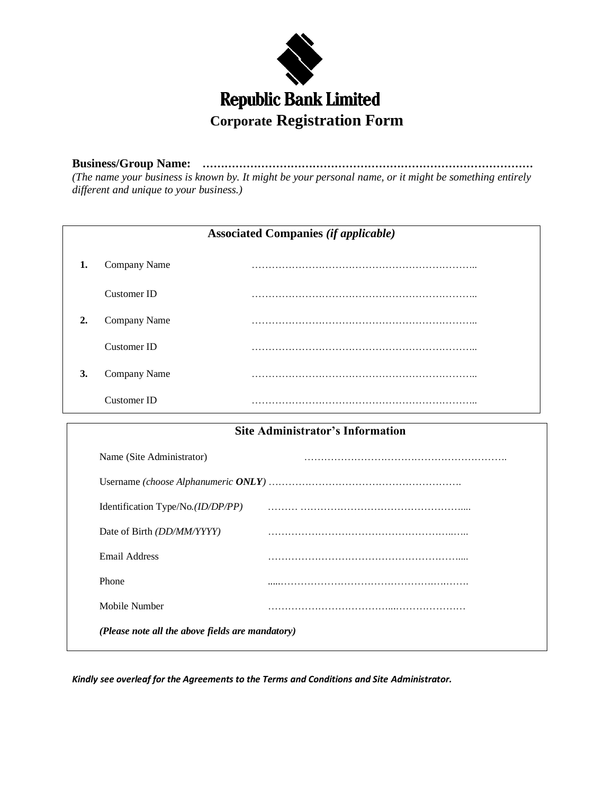

**Business/Group Name: ………………………………………………………………………………** *(The name your business is known by. It might be your personal name, or it might be something entirely different and unique to your business.)*

| <b>Associated Companies (if applicable)</b> |              |   |  |  |  |
|---------------------------------------------|--------------|---|--|--|--|
| 1.                                          | Company Name | . |  |  |  |
|                                             | Customer ID  | . |  |  |  |
| $\overline{2}$                              | Company Name | . |  |  |  |
|                                             | Customer ID  |   |  |  |  |
| 3.                                          | Company Name | . |  |  |  |
|                                             | Customer ID  | . |  |  |  |

| <b>Site Administrator's Information</b>          |  |  |  |  |
|--------------------------------------------------|--|--|--|--|
| Name (Site Administrator)                        |  |  |  |  |
|                                                  |  |  |  |  |
| Identification Type/No. $(ID/DP/PP)$             |  |  |  |  |
| Date of Birth <i>(DD/MM/YYYY)</i>                |  |  |  |  |
| Email Address                                    |  |  |  |  |
| Phone                                            |  |  |  |  |
| Mobile Number                                    |  |  |  |  |
| (Please note all the above fields are mandatory) |  |  |  |  |

*Kindly see overleaf for the Agreements to the Terms and Conditions and Site Administrator.*